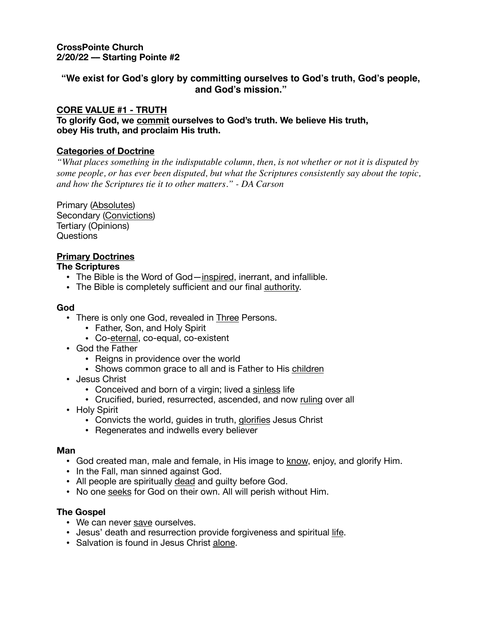**CrossPointe Church 2/20/22 –– Starting Pointe #2** 

# **"We exist for God's glory by committing ourselves to God's truth, God's people, and God's mission."**

# **CORE VALUE #1 - TRUTH**

**To glorify God, we commit ourselves to God's truth. We believe His truth, obey His truth, and proclaim His truth.**

## **Categories of Doctrine**

*"What places something in the indisputable column, then, is not whether or not it is disputed by some people, or has ever been disputed, but what the Scriptures consistently say about the topic, and how the Scriptures tie it to other matters." - DA Carson*

Primary (Absolutes) Secondary (Convictions) Tertiary (Opinions) Questions

## **Primary Doctrines**

## **The Scriptures**

- **•** The Bible is the Word of God—inspired, inerrant, and infallible.
- The Bible is completely sufficient and our final **authority**.

## **God**

- **•** There is only one God, revealed in Three Persons.
	- **•** Father, Son, and Holy Spirit
	- **•** Co-eternal, co-equal, co-existent
- **•** God the Father
	- **•** Reigns in providence over the world
	- **•** Shows common grace to all and is Father to His children
- **•** Jesus Christ
	- **•** Conceived and born of a virgin; lived a sinless life
	- **•** Crucified, buried, resurrected, ascended, and now ruling over all
- **•** Holy Spirit
	- **•** Convicts the world, guides in truth, glorifies Jesus Christ
	- **•** Regenerates and indwells every believer

#### **Man**

- **•** God created man, male and female, in His image to know, enjoy, and glorify Him.
- **•** In the Fall, man sinned against God.
- **•** All people are spiritually dead and guilty before God.
- **•** No one seeks for God on their own. All will perish without Him.

## **The Gospel**

- We can never save ourselves.
- **•** Jesus' death and resurrection provide forgiveness and spiritual life.
- **•** Salvation is found in Jesus Christ alone.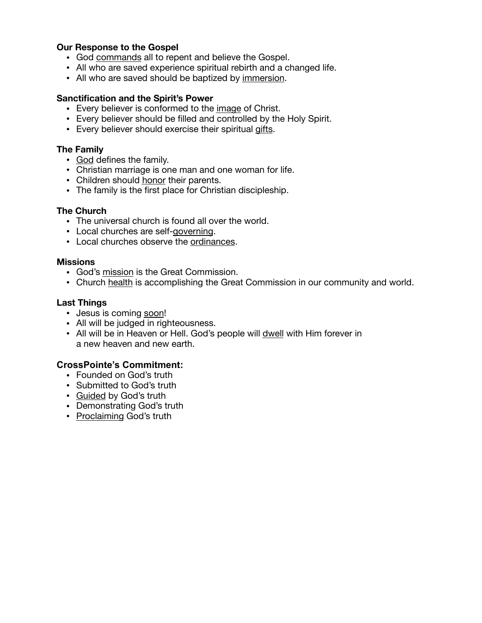## **Our Response to the Gospel**

- God commands all to repent and believe the Gospel.
- **•** All who are saved experience spiritual rebirth and a changed life.
- **•** All who are saved should be baptized by immersion.

#### **Sanctification and the Spirit's Power**

- Every believer is conformed to the image of Christ.
- **•** Every believer should be filled and controlled by the Holy Spirit.
- **•** Every believer should exercise their spiritual gifts.

### **The Family**

- God defines the family.
- **•** Christian marriage is one man and one woman for life.
- **•** Children should honor their parents.
- **•** The family is the first place for Christian discipleship.

#### **The Church**

- The universal church is found all over the world.
- Local churches are self-governing.
- **•** Local churches observe the ordinances.

#### **Missions**

- God's mission is the Great Commission.
- **•** Church health is accomplishing the Great Commission in our community and world.

#### **Last Things**

- Jesus is coming soon!
- **•** All will be judged in righteousness.
- **•** All will be in Heaven or Hell. God's people will dwell with Him forever in a new heaven and new earth.

# **CrossPointe's Commitment:**

- **•** Founded on God's truth
- **•** Submitted to God's truth
- **•** Guided by God's truth
- **•** Demonstrating God's truth
- **•** Proclaiming God's truth